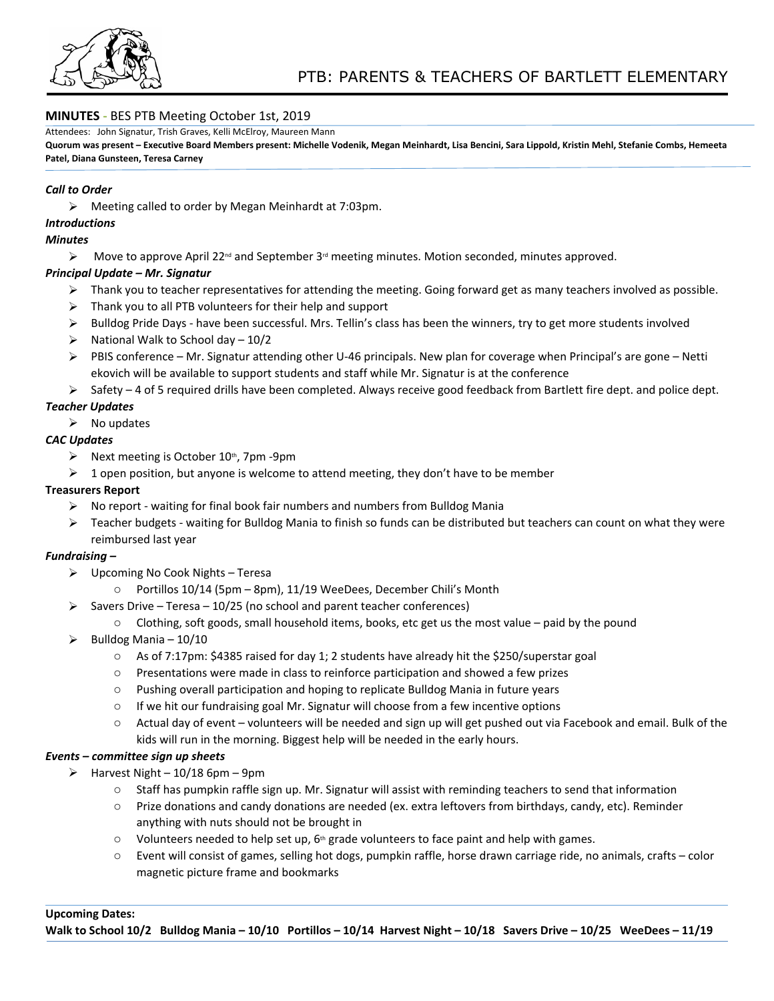

## **MINUTES -** BES PTB Meeting October 1st, 2019

Attendees: John Signatur, Trish Graves, Kelli McElroy, Maureen Mann

**Quorum was present – Executive Board Members present: Michelle Vodenik, Megan Meinhardt, Lisa Bencini, Sara Lippold, Kristin Mehl, Stefanie Combs, Hemeeta Patel, Diana Gunsteen, Teresa Carney**

## *Call to Order*

Meeting called to order by Megan Meinhardt at 7:03pm.

*Introductions*

### *Minutes*

 $\triangleright$  Move to approve April 22<sup>nd</sup> and September 3<sup>rd</sup> meeting minutes. Motion seconded, minutes approved.

## *Principal Update – Mr. Signatur*

- $\triangleright$  Thank you to teacher representatives for attending the meeting. Going forward get as many teachers involved as possible.
- $\triangleright$  Thank you to all PTB volunteers for their help and support
- $\triangleright$  Bulldog Pride Days have been successful. Mrs. Tellin's class has been the winners, try to get more students involved
- $\triangleright$  National Walk to School day 10/2
- $\triangleright$  PBIS conference Mr. Signatur attending other U-46 principals. New plan for coverage when Principal's are gone Netti ekovich will be available to support students and staff while Mr. Signatur is at the conference
- $\triangleright$  Safety 4 of 5 required drills have been completed. Always receive good feedback from Bartlett fire dept. and police dept.

## *Teacher Updates*

 $\triangleright$  No updates

## *CAC Updates*

- $\triangleright$  Next meeting is October 10<sup>th</sup>, 7pm -9pm
- $\triangleright$  1 open position, but anyone is welcome to attend meeting, they don't have to be member

#### **Treasurers Report**

- $\triangleright$  No report waiting for final book fair numbers and numbers from Bulldog Mania
- $\triangleright$  Teacher budgets waiting for Bulldog Mania to finish so funds can be distributed but teachers can count on what they were reimbursed last year

## *Fundraising –*

- $\triangleright$  Upcoming No Cook Nights Teresa
	- o Portillos 10/14 (5pm 8pm), 11/19 WeeDees, December Chili's Month
- $\triangleright$  Savers Drive Teresa 10/25 (no school and parent teacher conferences)
	- $\circ$  Clothing, soft goods, small household items, books, etc get us the most value paid by the pound
- $\triangleright$  Bulldog Mania 10/10
	- $\circ$  As of 7:17pm: \$4385 raised for day 1; 2 students have already hit the \$250/superstar goal
	- o Presentations were made in class to reinforce participation and showed a few prizes
	- o Pushing overall participation and hoping to replicate Bulldog Mania in future years
	- $\circ$  If we hit our fundraising goal Mr. Signatur will choose from a few incentive options
	- o Actual day of event volunteers will be needed and sign up will get pushed out via Facebook and email. Bulk of the kids will run in the morning. Biggest help will be needed in the early hours.

#### *Events – committee sign up sheets*

- $\triangleright$  Harvest Night 10/18 6pm 9pm
	- o Staff has pumpkin raffle sign up. Mr. Signatur will assist with reminding teachers to send that information
	- o Prize donations and candy donations are needed (ex. extra leftovers from birthdays, candy, etc). Reminder anything with nuts should not be brought in
	- $\circ$  Volunteers needed to help set up, 6<sup>th</sup> grade volunteers to face paint and help with games.
	- o Event will consist of games, selling hot dogs, pumpkin raffle, horse drawn carriage ride, no animals, crafts color magnetic picture frame and bookmarks

#### **Upcoming Dates:**

**Walk to School 10/2 Bulldog Mania – 10/10 Portillos – 10/14 Harvest Night – 10/18 Savers Drive – 10/25 WeeDees – 11/19**